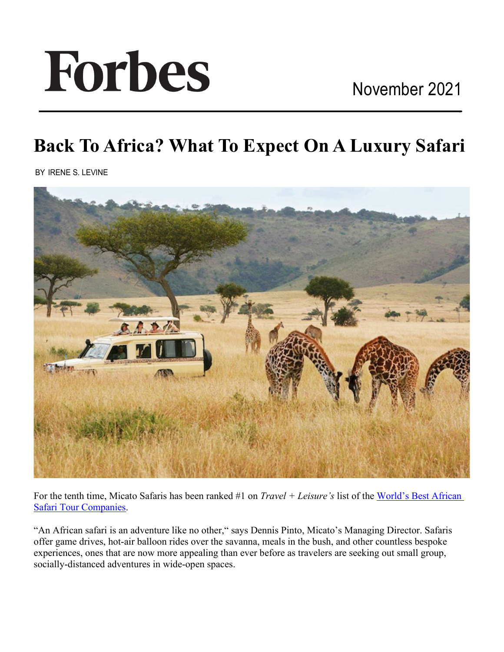# Forbes

November 2021

# **Back To Africa? What To Expect On A Luxury Safari**

BY IRENE S. LEVINE



For the tenth time, Micato Safaris has been ranked #1 on *Travel + Leisure's* list of the [World's Best African](https://www.micato.com/micato-safaris-hits-1-on-travelleisure-worlds-best-list-for-record-breaking-10th-time/)  [Safari Tour Companies.](https://www.micato.com/micato-safaris-hits-1-on-travelleisure-worlds-best-list-for-record-breaking-10th-time/)

"An African safari is an adventure like no other," says Dennis Pinto, Micato's Managing Director. Safaris offer game drives, hot-air balloon rides over the savanna, meals in the bush, and other countless bespoke experiences, ones that are now more appealing than ever before as travelers are seeking out small group, socially-distanced adventures in wide-open spaces.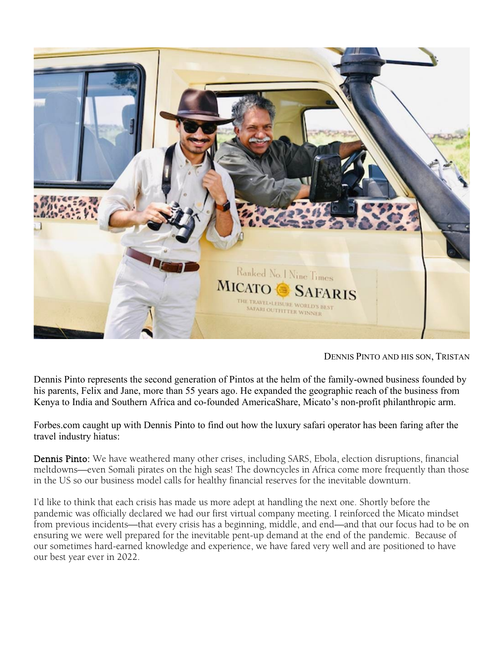

DENNIS PINTO AND HIS SON, TRISTAN

Dennis Pinto represents the second generation of Pintos at the helm of the family-owned business founded by his parents, Felix and Jane, more than 55 years ago. He expanded the geographic reach of the business from Kenya to India and Southern Africa and co-founded AmericaShare, Micato's non-profit philanthropic arm.

Forbes.com caught up with Dennis Pinto to find out how the luxury safari operator has been faring after the travel industry hiatus:

Dennis Pinto: We have weathered many other crises, including SARS, Ebola, election disruptions, financial meltdowns—even Somali pirates on the high seas! The downcycles in Africa come more frequently than those in the US so our business model calls for healthy financial reserves for the inevitable downturn.

I'd like to think that each crisis has made us more adept at handling the next one. Shortly before the pandemic was officially declared we had our first virtual company meeting. I reinforced the Micato mindset from previous incidents—that every crisis has a beginning, middle, and end—and that our focus had to be on ensuring we were well prepared for the inevitable pent-up demand at the end of the pandemic. Because of our sometimes hard-earned knowledge and experience, we have fared very well and are positioned to have our best year ever in 2022.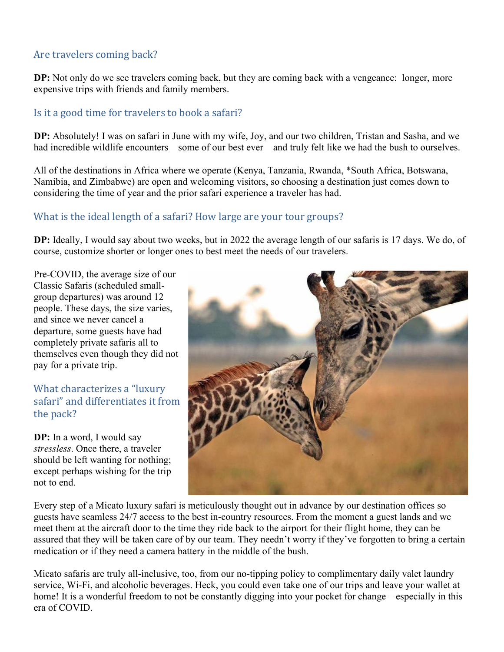#### Are travelers coming back?

**DP:** Not only do we see travelers coming back, but they are coming back with a vengeance: longer, more expensive trips with friends and family members.

# Is it a good time for travelers to book a safari?

**DP:** Absolutely! I was on safari in June with my wife, Joy, and our two children, Tristan and Sasha, and we had incredible wildlife encounters—some of our best ever—and truly felt like we had the bush to ourselves.

All of the destinations in Africa where we operate (Kenya, Tanzania, Rwanda, \*South Africa, Botswana, Namibia, and Zimbabwe) are open and welcoming visitors, so choosing a destination just comes down to considering the time of year and the prior safari experience a traveler has had.

## What is the ideal length of a safari? How large are your tour groups?

**DP:** Ideally, I would say about two weeks, but in 2022 the average length of our safaris is 17 days. We do, of course, customize shorter or longer ones to best meet the needs of our travelers.

Pre-COVID, the average size of our Classic Safaris (scheduled smallgroup departures) was around 12 people. These days, the size varies, and since we never cancel a departure, some guests have had completely private safaris all to themselves even though they did not pay for a private trip.

#### What characterizes a "luxury safari" and differentiates it from the pack?

**DP:** In a word, I would say *stressless*. Once there, a traveler should be left wanting for nothing; except perhaps wishing for the trip not to end.



Every step of a Micato luxury safari is meticulously thought out in advance by our destination offices so guests have seamless 24/7 access to the best in-country resources. From the moment a guest lands and we meet them at the aircraft door to the time they ride back to the airport for their flight home, they can be assured that they will be taken care of by our team. They needn't worry if they've forgotten to bring a certain medication or if they need a camera battery in the middle of the bush.

Micato safaris are truly all-inclusive, too, from our no-tipping policy to complimentary daily valet laundry service, Wi-Fi, and alcoholic beverages. Heck, you could even take one of our trips and leave your wallet at home! It is a wonderful freedom to not be constantly digging into your pocket for change – especially in this era of COVID.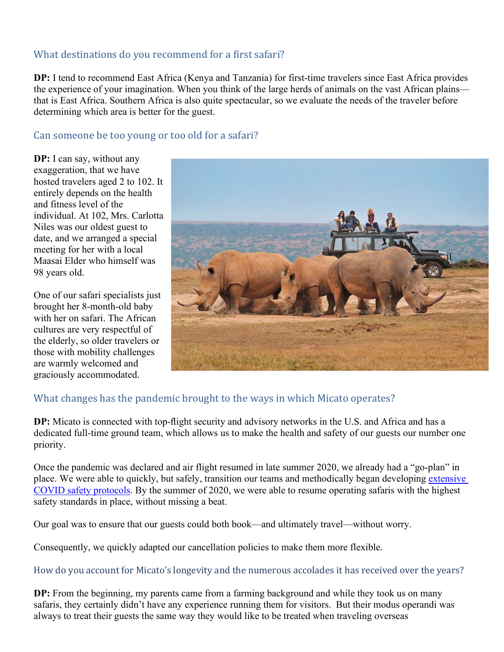## What destinations do you recommend for a first safari?

**DP:** I tend to recommend East Africa (Kenya and Tanzania) for first-time travelers since East Africa provides the experience of your imagination. When you think of the large herds of animals on the vast African plains that is East Africa. Southern Africa is also quite spectacular, so we evaluate the needs of the traveler before determining which area is better for the guest.

#### Can someone be too young or too old for a safari?

**DP:** I can say, without any exaggeration, that we have hosted travelers aged 2 to 102. It entirely depends on the health and fitness level of the individual. At 102, Mrs. Carlotta Niles was our oldest guest to date, and we arranged a special meeting for her with a local Maasai Elder who himself was 98 years old.

One of our safari specialists just brought her 8-month-old baby with her on safari. The African cultures are very respectful of the elderly, so older travelers or those with mobility challenges are warmly welcomed and graciously accommodated.



#### What changes has the pandemic brought to the ways in which Micato operates?

**DP:** Micato is connected with top-flight security and advisory networks in the U.S. and Africa and has a dedicated full-time ground team, which allows us to make the health and safety of our guests our number one priority.

Once the pandemic was declared and air flight resumed in late summer 2020, we already had a "go-plan" in place. We were able to quickly, but safely, transition our teams and methodically began developing [extensive](https://www.micato.com/why-safari-with-micato/covid-19-policy/)  [COVID safety protocols.](https://www.micato.com/why-safari-with-micato/covid-19-policy/) By the summer of 2020, we were able to resume operating safaris with the highest safety standards in place, without missing a beat.

Our goal was to ensure that our guests could both book—and ultimately travel—without worry.

Consequently, we quickly adapted our cancellation policies to make them more flexible.

How do you account for Micato's longevity and the numerous accolades it has received over the years?

**DP:** From the beginning, my parents came from a farming background and while they took us on many safaris, they certainly didn't have any experience running them for visitors. But their modus operandi was always to treat their guests the same way they would like to be treated when traveling overseas